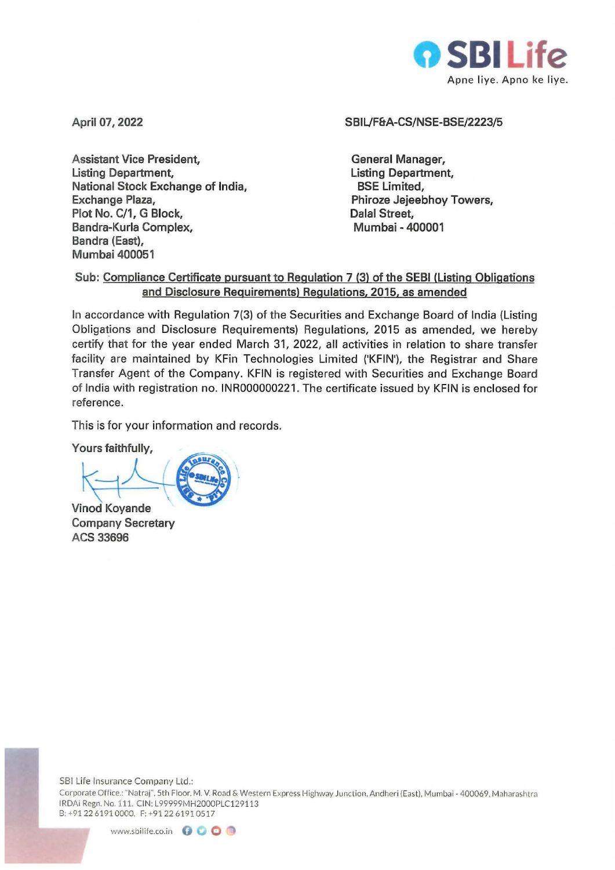

**April 07, 2022** 

**Assistant Vice President, Listing Department, National Stock Exchange of India, Exchange Plaza, Plot No. C/1, G Block, Bandra-Kurla Complex, Bandra (East), Mumbai 400051** 

## **SBIL/F&A-CS/NSE-BSE/2223/5**

**General Manager, Listing Department, BSE Limited, Phiroze Jejeebhoy Towers, Dalal Street, Mumbai -400001** 

## **Sub: Compliance Certificate pursuant to Regulation 7 (3) of the SEBI (Listing Obligations and Disclosure Requirements) Regulations, 2015, as amended**

In accordance with Regulation 7(3) of the Securities and Exchange Board of India (Listing Obligations and Disclosure Requirements) Regulations, 2015 as amended, we hereby certify that for the year ended March 31, 2022, all activities in relation to share transfer facility are maintained by KFin Technologies Limited ('KFIN'), the Registrar and Share Transfer Agent of the Company. KFIN is registered with Securities and Exchange Board of India with registration no. INR000000221 . The certificate issued by KFIN is enclosed for reference.

This is for your information and records.<br>Yours faithfully,

**ande** 

**Vinod Koy Company Secretary ACS 33696** 

SBI Life Insurance Company Ltd.:

Corporate Office.: "Natraj". 5th Floor. M. V. Road & Western Express Highway Junction. Andheri {Eas t). Mumbai - 400069. Maharashtra IRDAi Regn. No.111. CIN: L99999MH2000PLC129113 8:+912261910000. F:+912261910517